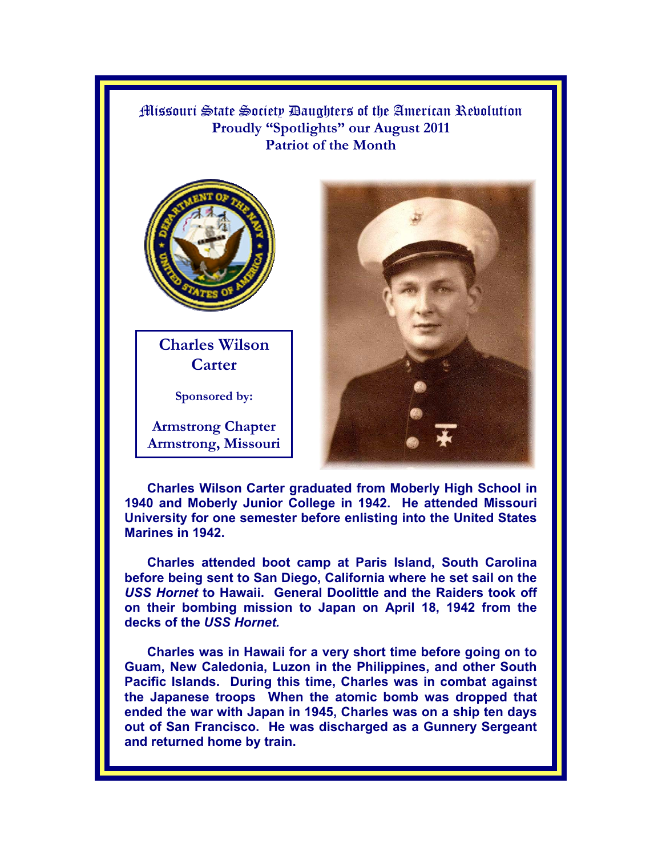Missouri State Society Daughters of the American Revolution **Proudly "Spotlights" our August 2011 Patriot of the Month**



**Charles Wilson Carter** 

**Sponsored by:** 

**Armstrong Chapter Armstrong, Missouri** 



**Charles Wilson Carter graduated from Moberly High School in 1940 and Moberly Junior College in 1942. He attended Missouri University for one semester before enlisting into the United States Marines in 1942.** 

**Charles attended boot camp at Paris Island, South Carolina before being sent to San Diego, California where he set sail on the**  *USS Hornet* **to Hawaii. General Doolittle and the Raiders took off on their bombing mission to Japan on April 18, 1942 from the decks of the** *USS Hornet.* 

**Charles was in Hawaii for a very short time before going on to Guam, New Caledonia, Luzon in the Philippines, and other South Pacific Islands. During this time, Charles was in combat against the Japanese troops When the atomic bomb was dropped that ended the war with Japan in 1945, Charles was on a ship ten days out of San Francisco. He was discharged as a Gunnery Sergeant and returned home by train.**